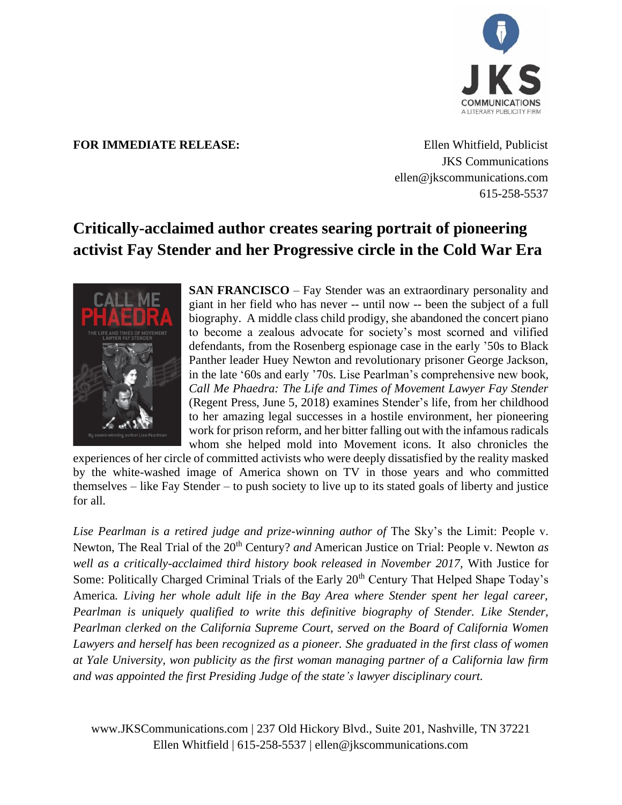

## **FOR IMMEDIATE RELEASE:** Ellen Whitfield, Publicist

JKS Communications ellen@jkscommunications.com 615-258-5537

## **Critically-acclaimed author creates searing portrait of pioneering activist Fay Stender and her Progressive circle in the Cold War Era**



**SAN FRANCISCO** – Fay Stender was an extraordinary personality and giant in her field who has never -- until now -- been the subject of a full biography. A middle class child prodigy, she abandoned the concert piano to become a zealous advocate for society's most scorned and vilified defendants, from the Rosenberg espionage case in the early '50s to Black Panther leader Huey Newton and revolutionary prisoner George Jackson, in the late '60s and early '70s. Lise Pearlman's comprehensive new book, *Call Me Phaedra: The Life and Times of Movement Lawyer Fay Stender* (Regent Press, June 5, 2018) examines Stender's life, from her childhood to her amazing legal successes in a hostile environment, her pioneering work for prison reform, and her bitter falling out with the infamous radicals whom she helped mold into Movement icons. It also chronicles the

experiences of her circle of committed activists who were deeply dissatisfied by the reality masked by the white-washed image of America shown on TV in those years and who committed themselves – like Fay Stender – to push society to live up to its stated goals of liberty and justice for all.

Lise Pearlman is a retired judge and prize-winning author of The Sky's the Limit: People v. Newton, The Real Trial of the 20<sup>th</sup> Century? *and* American Justice on Trial: People v. Newton *as well as a critically-acclaimed third history book released in November 2017,* With Justice for Some: Politically Charged Criminal Trials of the Early 20<sup>th</sup> Century That Helped Shape Today's America*. Living her whole adult life in the Bay Area where Stender spent her legal career, Pearlman is uniquely qualified to write this definitive biography of Stender. Like Stender, Pearlman clerked on the California Supreme Court, served on the Board of California Women Lawyers and herself has been recognized as a pioneer. She graduated in the first class of women at Yale University, won publicity as the first woman managing partner of a California law firm and was appointed the first Presiding Judge of the state's lawyer disciplinary court.*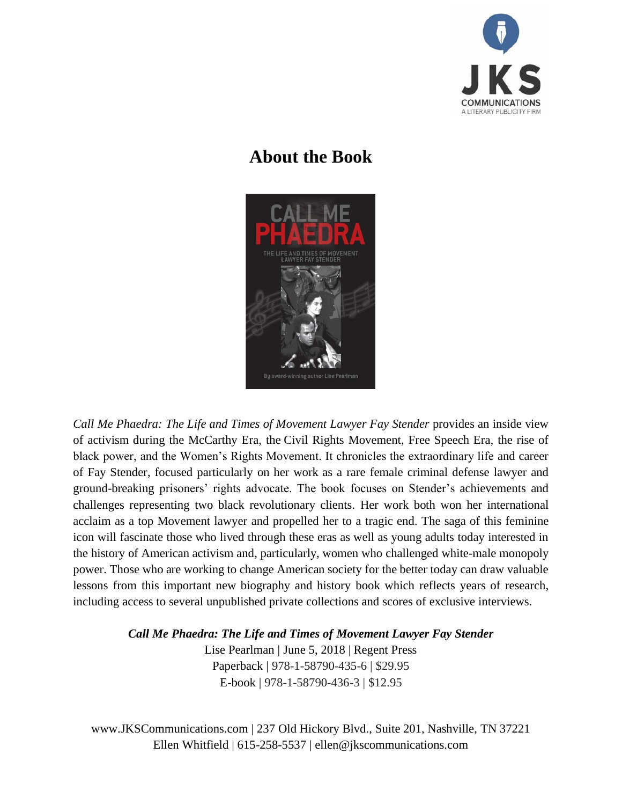

## **About the Book**



*Call Me Phaedra: The Life and Times of Movement Lawyer Fay Stender* provides an inside view of activism during the McCarthy Era, the Civil Rights Movement, Free Speech Era, the rise of black power, and the Women's Rights Movement. It chronicles the extraordinary life and career of Fay Stender, focused particularly on her work as a rare female criminal defense lawyer and ground-breaking prisoners' rights advocate. The book focuses on Stender's achievements and challenges representing two black revolutionary clients. Her work both won her international acclaim as a top Movement lawyer and propelled her to a tragic end. The saga of this feminine icon will fascinate those who lived through these eras as well as young adults today interested in the history of American activism and, particularly, women who challenged white-male monopoly power. Those who are working to change American society for the better today can draw valuable lessons from this important new biography and history book which reflects years of research, including access to several unpublished private collections and scores of exclusive interviews.

> *Call Me Phaedra: The Life and Times of Movement Lawyer Fay Stender* Lise Pearlman | June 5, 2018 | Regent Press Paperback | 978-1-58790-435-6 | \$29.95 E-book | 978-1-58790-436-3 | \$12.95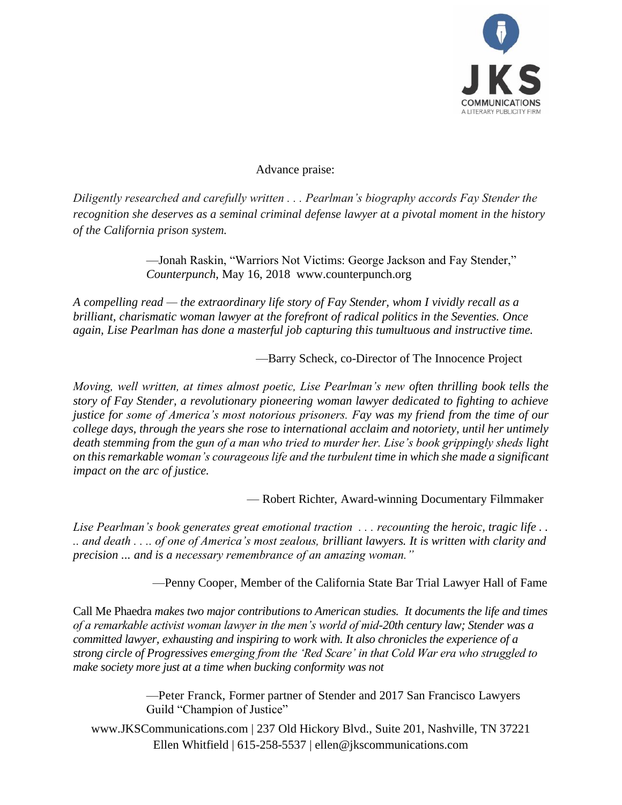

Advance praise:

*Diligently researched and carefully written . . . Pearlman's biography accords Fay Stender the recognition she deserves as a seminal criminal defense lawyer at a pivotal moment in the history of the California prison system.* 

> —Jonah Raskin, "Warriors Not Victims: George Jackson and Fay Stender," *Counterpunch*, May 16, 2018 www.counterpunch.org

*A compelling read — the extraordinary life story of Fay Stender, whom I vividly recall as a brilliant, charismatic woman lawyer at the forefront of radical politics in the Seventies. Once again, Lise Pearlman has done a masterful job capturing this tumultuous and instructive time.*

—Barry Scheck, co-Director of The Innocence Project

*Moving, well written, at times almost poetic, Lise Pearlman's new often thrilling book tells the story of Fay Stender, a revolutionary pioneering woman lawyer dedicated to fighting to achieve justice for some of America's most notorious prisoners. Fay was my friend from the time of our college days, through the years she rose to international acclaim and notoriety, until her untimely death stemming from the gun of a man who tried to murder her. Lise's book grippingly sheds light on this remarkable woman's courageous life and the turbulent time in which she made a significant impact on the arc of justice.*

— Robert Richter, Award-winning Documentary Filmmaker

*Lise Pearlman's book generates great emotional traction . . . recounting the heroic, tragic life . . .. and death . . .. of one of America's most zealous, brilliant lawyers. It is written with clarity and precision ... and is a necessary remembrance of an amazing woman."*

—Penny Cooper, Member of the California State Bar Trial Lawyer Hall of Fame

Call Me Phaedra *makes two major contributions to American studies. It documents the life and times of a remarkable activist woman lawyer in the men's world of mid-20th century law; Stender was a committed lawyer, exhausting and inspiring to work with. It also chronicles the experience of a strong circle of Progressives emerging from the 'Red Scare' in that Cold War era who struggled to make society more just at a time when bucking conformity was not* 

> —Peter Franck, Former partner of Stender and 2017 San Francisco Lawyers Guild "Champion of Justice"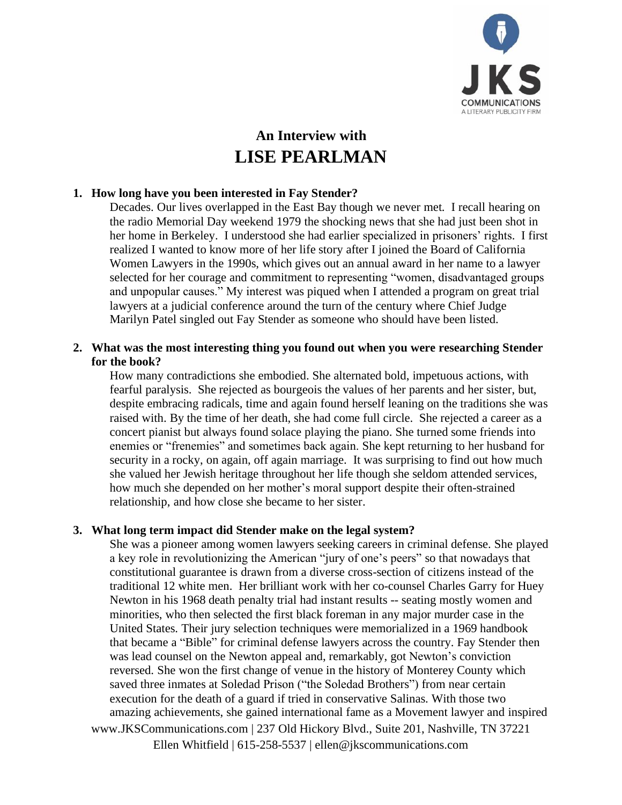

# **An Interview with LISE PEARLMAN**

## **1. How long have you been interested in Fay Stender?**

Decades. Our lives overlapped in the East Bay though we never met. I recall hearing on the radio Memorial Day weekend 1979 the shocking news that she had just been shot in her home in Berkeley. I understood she had earlier specialized in prisoners' rights. I first realized I wanted to know more of her life story after I joined the Board of California Women Lawyers in the 1990s, which gives out an annual award in her name to a lawyer selected for her courage and commitment to representing "women, disadvantaged groups and unpopular causes." My interest was piqued when I attended a program on great trial lawyers at a judicial conference around the turn of the century where Chief Judge Marilyn Patel singled out Fay Stender as someone who should have been listed.

## **2. What was the most interesting thing you found out when you were researching Stender for the book?**

How many contradictions she embodied. She alternated bold, impetuous actions, with fearful paralysis. She rejected as bourgeois the values of her parents and her sister, but, despite embracing radicals, time and again found herself leaning on the traditions she was raised with. By the time of her death, she had come full circle. She rejected a career as a concert pianist but always found solace playing the piano. She turned some friends into enemies or "frenemies" and sometimes back again. She kept returning to her husband for security in a rocky, on again, off again marriage. It was surprising to find out how much she valued her Jewish heritage throughout her life though she seldom attended services, how much she depended on her mother's moral support despite their often-strained relationship, and how close she became to her sister.

## **3. What long term impact did Stender make on the legal system?**

www.JKSCommunications.com | 237 Old Hickory Blvd., Suite 201, Nashville, TN 37221 She was a pioneer among women lawyers seeking careers in criminal defense. She played a key role in revolutionizing the American "jury of one's peers" so that nowadays that constitutional guarantee is drawn from a diverse cross-section of citizens instead of the traditional 12 white men. Her brilliant work with her co-counsel Charles Garry for Huey Newton in his 1968 death penalty trial had instant results -- seating mostly women and minorities, who then selected the first black foreman in any major murder case in the United States. Their jury selection techniques were memorialized in a 1969 handbook that became a "Bible" for criminal defense lawyers across the country. Fay Stender then was lead counsel on the Newton appeal and, remarkably, got Newton's conviction reversed. She won the first change of venue in the history of Monterey County which saved three inmates at Soledad Prison ("the Soledad Brothers") from near certain execution for the death of a guard if tried in conservative Salinas. With those two amazing achievements, she gained international fame as a Movement lawyer and inspired

Ellen Whitfield | 615-258-5537 | ellen@jkscommunications.com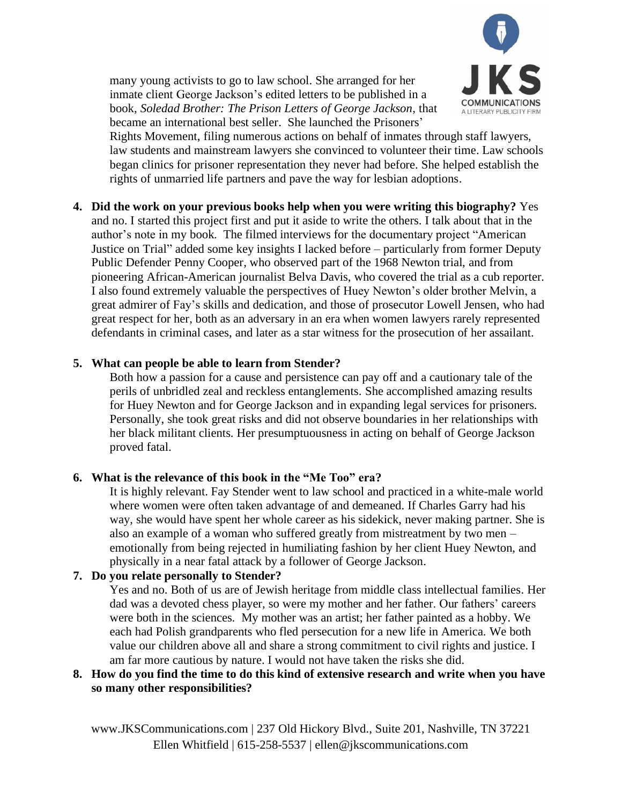

many young activists to go to law school. She arranged for her inmate client George Jackson's edited letters to be published in a book, *Soledad Brother: The Prison Letters of George Jackson,* that became an international best seller. She launched the Prisoners'

Rights Movement, filing numerous actions on behalf of inmates through staff lawyers, law students and mainstream lawyers she convinced to volunteer their time. Law schools began clinics for prisoner representation they never had before. She helped establish the rights of unmarried life partners and pave the way for lesbian adoptions.

**4. Did the work on your previous books help when you were writing this biography?** Yes and no. I started this project first and put it aside to write the others. I talk about that in the author's note in my book. The filmed interviews for the documentary project "American Justice on Trial" added some key insights I lacked before – particularly from former Deputy Public Defender Penny Cooper, who observed part of the 1968 Newton trial, and from pioneering African-American journalist Belva Davis, who covered the trial as a cub reporter. I also found extremely valuable the perspectives of Huey Newton's older brother Melvin, a great admirer of Fay's skills and dedication, and those of prosecutor Lowell Jensen, who had great respect for her, both as an adversary in an era when women lawyers rarely represented defendants in criminal cases, and later as a star witness for the prosecution of her assailant.

#### **5. What can people be able to learn from Stender?**

Both how a passion for a cause and persistence can pay off and a cautionary tale of the perils of unbridled zeal and reckless entanglements. She accomplished amazing results for Huey Newton and for George Jackson and in expanding legal services for prisoners. Personally, she took great risks and did not observe boundaries in her relationships with her black militant clients. Her presumptuousness in acting on behalf of George Jackson proved fatal.

## **6. What is the relevance of this book in the "Me Too" era?**

It is highly relevant. Fay Stender went to law school and practiced in a white-male world where women were often taken advantage of and demeaned. If Charles Garry had his way, she would have spent her whole career as his sidekick, never making partner. She is also an example of a woman who suffered greatly from mistreatment by two men – emotionally from being rejected in humiliating fashion by her client Huey Newton, and physically in a near fatal attack by a follower of George Jackson.

## **7. Do you relate personally to Stender?**

Yes and no. Both of us are of Jewish heritage from middle class intellectual families. Her dad was a devoted chess player, so were my mother and her father. Our fathers' careers were both in the sciences. My mother was an artist; her father painted as a hobby. We each had Polish grandparents who fled persecution for a new life in America. We both value our children above all and share a strong commitment to civil rights and justice. I am far more cautious by nature. I would not have taken the risks she did.

#### **8. How do you find the time to do this kind of extensive research and write when you have so many other responsibilities?**